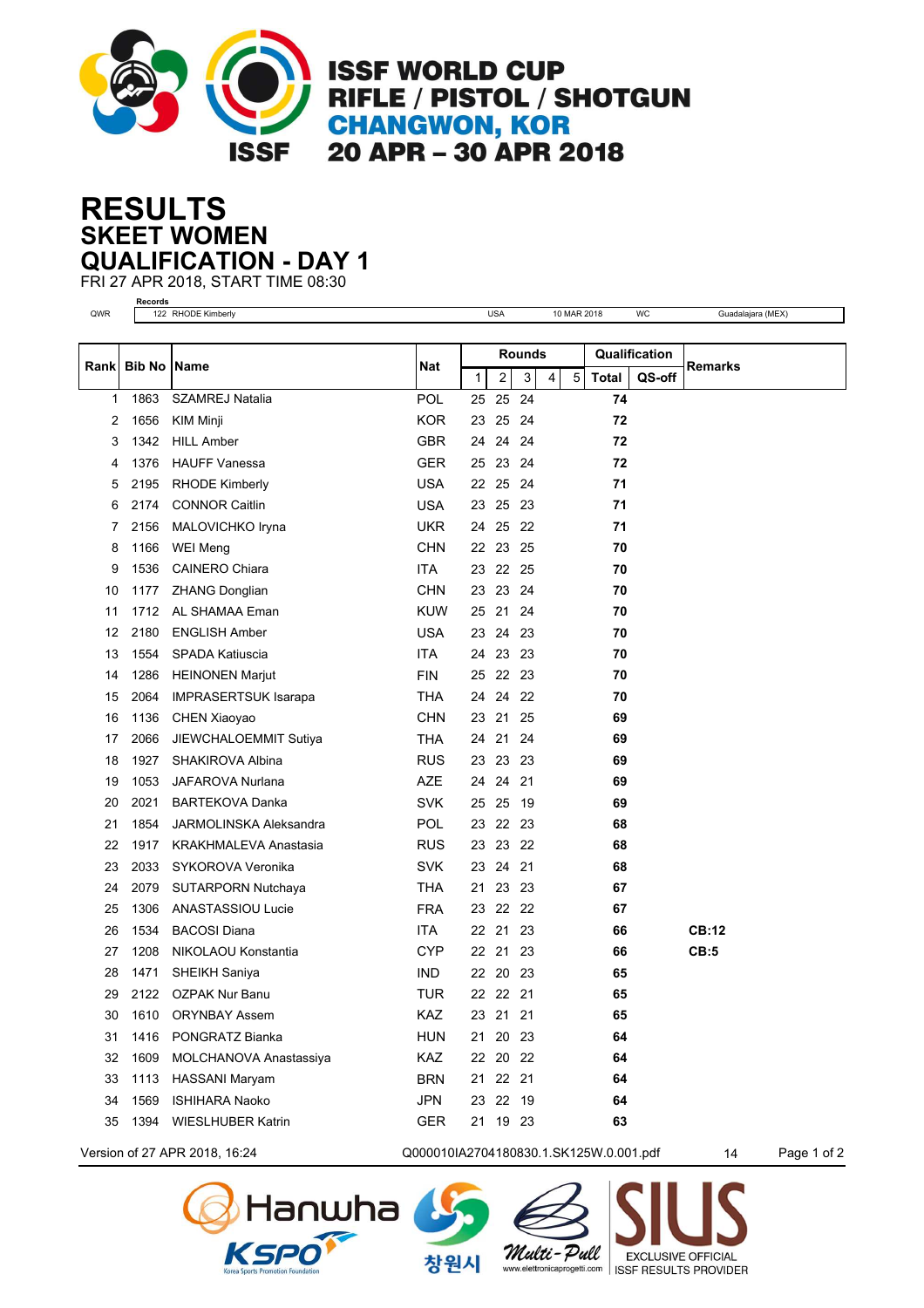

**ISSF WORLD CUP** RIFLE / PISTOL / SHOTGUN **CHANGWON, KOR** 20 APR - 30 APR 2018

## **SKEET WOMEN RESULTS QUALIFICATION - DAY 1**

FRI 27 APR 2018, START TIME 08:30 **Records**

| QWR   |               | www.u<br><b>USA</b><br>WC<br>122 RHODE Kimberly<br>10 MAR 2018 |            |        |          |     |   |            | Guadalajara (MEX) |               |              |
|-------|---------------|----------------------------------------------------------------|------------|--------|----------|-----|---|------------|-------------------|---------------|--------------|
|       |               |                                                                |            | Rounds |          |     |   |            |                   | Qualification |              |
| Rankl | <b>Bib No</b> | Name                                                           | Nat        | 1      | 2        | 3   | 4 | $\sqrt{5}$ | <b>Total</b>      | QS-off        | Remarks      |
| 1     | 1863          | <b>SZAMREJ Natalia</b>                                         | POL        |        | 25 25    | 24  |   |            | 74                |               |              |
| 2     | 1656          | <b>KIM Minji</b>                                               | <b>KOR</b> |        | 23 25    | 24  |   |            | 72                |               |              |
| 3     | 1342          | <b>HILL Amber</b>                                              | <b>GBR</b> | 24     | 24       | 24  |   |            | 72                |               |              |
| 4     | 1376          | <b>HAUFF Vanessa</b>                                           | <b>GER</b> | 25     | 23       | 24  |   |            | 72                |               |              |
| 5     | 2195          | <b>RHODE Kimberly</b>                                          | <b>USA</b> |        | 22 25    | -24 |   |            | 71                |               |              |
| 6     | 2174          | <b>CONNOR Caitlin</b>                                          | <b>USA</b> | 23     | 25       | 23  |   |            | 71                |               |              |
| 7     | 2156          | MALOVICHKO Iryna                                               | UKR        | 24     | 25       | 22  |   |            | 71                |               |              |
| 8     | 1166          | <b>WEI Meng</b>                                                | <b>CHN</b> |        | 22 23    | 25  |   |            | 70                |               |              |
| 9     | 1536          | <b>CAINERO Chiara</b>                                          | <b>ITA</b> |        | 23 22 25 |     |   |            | 70                |               |              |
| 10    | 1177          | <b>ZHANG Donglian</b>                                          | <b>CHN</b> | 23     | 23       | 24  |   |            | 70                |               |              |
| 11    | 1712          | AL SHAMAA Eman                                                 | <b>KUW</b> | 25     | 21       | 24  |   |            | 70                |               |              |
| 12    | 2180          | <b>ENGLISH Amber</b>                                           | <b>USA</b> |        | 23 24    | 23  |   |            | 70                |               |              |
| 13    | 1554          | SPADA Katiuscia                                                | <b>ITA</b> | 24     | 23       | 23  |   |            | 70                |               |              |
| 14    | 1286          | <b>HEINONEN Marjut</b>                                         | <b>FIN</b> | 25     | 22       | -23 |   |            | 70                |               |              |
| 15    | 2064          | <b>IMPRASERTSUK Isarapa</b>                                    | <b>THA</b> | 24     | 24       | 22  |   |            | 70                |               |              |
| 16    | 1136          | CHEN Xiaoyao                                                   | <b>CHN</b> |        | 23 21    | 25  |   |            | 69                |               |              |
| 17    | 2066          | JIEWCHALOEMMIT Sutiya                                          | <b>THA</b> | 24     | 21       | 24  |   |            | 69                |               |              |
| 18    | 1927          | SHAKIROVA Albina                                               | <b>RUS</b> |        | 23 23    | 23  |   |            | 69                |               |              |
| 19    | 1053          | <b>JAFAROVA Nurlana</b>                                        | <b>AZE</b> |        | 24 24    | 21  |   |            | 69                |               |              |
| 20    | 2021          | <b>BARTEKOVA Danka</b>                                         | <b>SVK</b> | 25     | 25       | 19  |   |            | 69                |               |              |
| 21    | 1854          | <b>JARMOLINSKA Aleksandra</b>                                  | <b>POL</b> | 23     | 22       | 23  |   |            | 68                |               |              |
| 22    | 1917          | KRAKHMALEVA Anastasia                                          | <b>RUS</b> | 23     | 23       | 22  |   |            | 68                |               |              |
| 23    | 2033          | SYKOROVA Veronika                                              | <b>SVK</b> |        | 23 24    | 21  |   |            | 68                |               |              |
| 24    | 2079          | SUTARPORN Nutchaya                                             | <b>THA</b> | 21     | 23       | 23  |   |            | 67                |               |              |
| 25    | 1306          | <b>ANASTASSIOU Lucie</b>                                       | <b>FRA</b> |        | 23 22    | 22  |   |            | 67                |               |              |
| 26    | 1534          | <b>BACOSI Diana</b>                                            | ITA        |        | 22 21    | 23  |   |            | 66                |               | <b>CB:12</b> |
| 27    | 1208          | NIKOLAOU Konstantia                                            | <b>CYP</b> |        | 22 21    | 23  |   |            | 66                |               | CB:5         |
| 28    | 1471          | SHEIKH Saniya                                                  | <b>IND</b> | 22     | 20       | 23  |   |            | 65                |               |              |
| 29    | 2122          | <b>OZPAK Nur Banu</b>                                          | <b>TUR</b> |        | 22 22 21 |     |   |            | 65                |               |              |
| 30    | 1610          | <b>ORYNBAY Assem</b>                                           | KAZ        |        | 23 21 21 |     |   |            | 65                |               |              |
| 31    | 1416          | PONGRATZ Bianka                                                | <b>HUN</b> | 21     | 20       | -23 |   |            | 64                |               |              |
| 32    | 1609          | MOLCHANOVA Anastassiya                                         | KAZ        |        | 22 20 22 |     |   |            | 64                |               |              |
| 33    | 1113          | HASSANI Maryam                                                 | <b>BRN</b> |        | 21 22 21 |     |   |            | 64                |               |              |
| 34    | 1569          | <b>ISHIHARA Naoko</b>                                          | <b>JPN</b> |        | 23 22 19 |     |   |            | 64                |               |              |
| 35    | 1394          | <b>WIESLHUBER Katrin</b>                                       | <b>GER</b> |        | 21 19 23 |     |   |            | 63                |               |              |